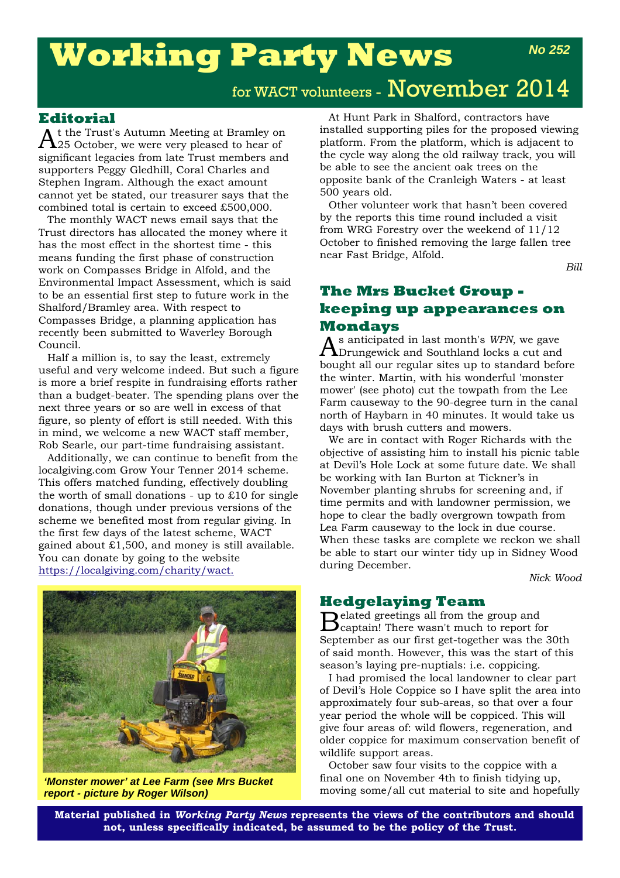# **Working Party News**

### **Editorial**

 $A$ t the Trust's Autumn Meeting at Bramley on<br> $A$ 25 October, we were very pleased to hear of significant legacies from late Trust members and supporters Peggy Gledhill, Coral Charles and Stephen Ingram. Although the exact amount cannot yet be stated, our treasurer says that the combined total is certain to exceed £500,000.

The monthly WACT news email says that the Trust directors has allocated the money where it has the most effect in the shortest time - this means funding the first phase of construction work on Compasses Bridge in Alfold, and the Environmental Impact Assessment, which is said to be an essential first step to future work in the Shalford/Bramley area. With respect to Compasses Bridge, a planning application has recently been submitted to Waverley Borough Council.

Half a million is, to say the least, extremely useful and very welcome indeed. But such a figure is more a brief respite in fundraising efforts rather than a budget-beater. The spending plans over the next three years or so are well in excess of that figure, so plenty of effort is still needed. With this in mind, we welcome a new WACT staff member, Rob Searle, our part-time fundraising assistant.

Additionally, we can continue to benefit from the localgiving.com Grow Your Tenner 2014 scheme. This offers matched funding, effectively doubling the worth of small donations - up to  $£10$  for single donations, though under previous versions of the scheme we benefited most from regular giving. In the first few days of the latest scheme, WACT gained about £1,500, and money is still available. You can donate by going to the website https://localgiving.com/charity/wact.



*'Monster mower' at Lee Farm (see Mrs Bucket report - picture by Roger Wilson)*

At Hunt Park in Shalford, contractors have installed supporting piles for the proposed viewing platform. From the platform, which is adjacent to the cycle way along the old railway track, you will be able to see the ancient oak trees on the opposite bank of the Cranleigh Waters - at least 500 years old.

Other volunteer work that hasn't been covered by the reports this time round included a visit from WRG Forestry over the weekend of 11/12 October to finished removing the large fallen tree near Fast Bridge, Alfold.

*Bill*

*No 252*

## **The Mrs Bucket Group keeping up appearances on Mondays**<br>A s anticipated in last month's WPN, we gave

As anticipated in last month's *WPN*, we gave Drungewick and Southland locks a cut and bought all our regular sites up to standard before the winter. Martin, with his wonderful 'monster mower' (see photo) cut the towpath from the Lee Farm causeway to the 90-degree turn in the canal north of Haybarn in 40 minutes. It would take us days with brush cutters and mowers.

We are in contact with Roger Richards with the objective of assisting him to install his picnic table at Devil's Hole Lock at some future date. We shall be working with Ian Burton at Tickner's in November planting shrubs for screening and, if time permits and with landowner permission, we hope to clear the badly overgrown towpath from Lea Farm causeway to the lock in due course. When these tasks are complete we reckon we shall be able to start our winter tidy up in Sidney Wood during December.

*Nick Wood*

### **Hedgelaying Team**

Belated greetings all from the group and captain! There wasn't much to report for September as our first get-together was the 30th of said month. However, this was the start of this season's laying pre-nuptials: i.e. coppicing.

I had promised the local landowner to clear part of Devil's Hole Coppice so I have split the area into approximately four sub-areas, so that over a four year period the whole will be coppiced. This will give four areas of: wild flowers, regeneration, and older coppice for maximum conservation benefit of wildlife support areas.

October saw four visits to the coppice with a final one on November 4th to finish tidying up, moving some/all cut material to site and hopefully

**Material published in** *Working Party News* **represents the views of the contributors and should not, unless specifically indicated, be assumed to be the policy of the Trust.**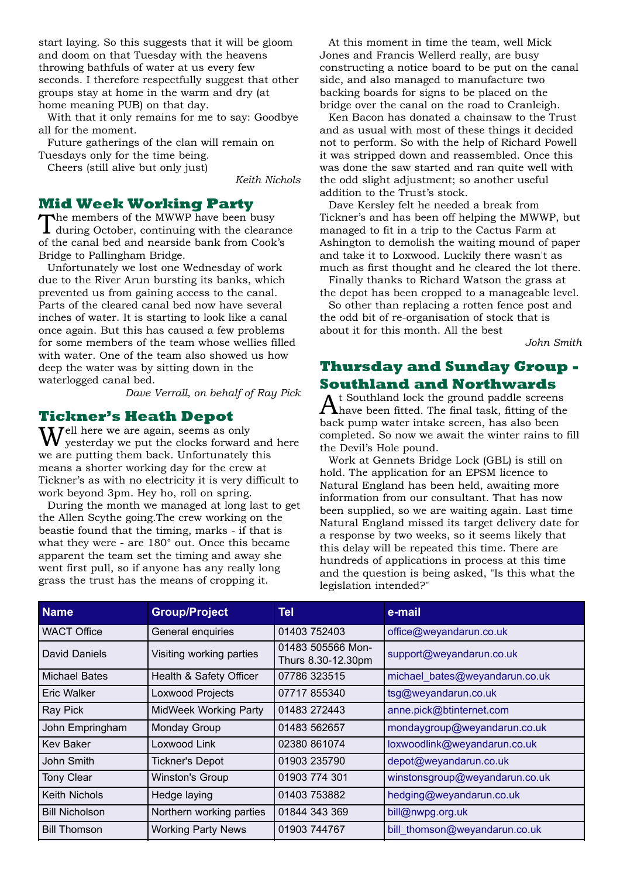start laying. So this suggests that it will be gloom and doom on that Tuesday with the heavens throwing bathfuls of water at us every few seconds. I therefore respectfully suggest that other groups stay at home in the warm and dry (at home meaning PUB) on that day.

With that it only remains for me to say: Goodbye all for the moment.

Future gatherings of the clan will remain on Tuesdays only for the time being.

Cheers (still alive but only just)

*Keith Nichols*

### **Mid Week Working Party**

The members of the MWWP have been busy during October, continuing with the clearance of the canal bed and nearside bank from Cook's Bridge to Pallingham Bridge.

Unfortunately we lost one Wednesday of work due to the River Arun bursting its banks, which prevented us from gaining access to the canal. Parts of the cleared canal bed now have several inches of water. It is starting to look like a canal once again. But this has caused a few problems for some members of the team whose wellies filled with water. One of the team also showed us how deep the water was by sitting down in the waterlogged canal bed.

*Dave Verrall, on behalf of Ray Pick*

### **Tickner's Heath Depot**

**7**ell here we are again, seems as only yesterday we put the clocks forward and here we are putting them back. Unfortunately this means a shorter working day for the crew at Tickner's as with no electricity it is very difficult to work beyond 3pm. Hey ho, roll on spring.

During the month we managed at long last to get the Allen Scythe going.The crew working on the beastie found that the timing, marks - if that is what they were - are 180° out. Once this became apparent the team set the timing and away she went first pull, so if anyone has any really long grass the trust has the means of cropping it.

At this moment in time the team, well Mick Jones and Francis Wellerd really, are busy constructing a notice board to be put on the canal side, and also managed to manufacture two backing boards for signs to be placed on the bridge over the canal on the road to Cranleigh.

Ken Bacon has donated a chainsaw to the Trust and as usual with most of these things it decided not to perform. So with the help of Richard Powell it was stripped down and reassembled. Once this was done the saw started and ran quite well with the odd slight adjustment; so another useful addition to the Trust's stock.

Dave Kersley felt he needed a break from Tickner's and has been off helping the MWWP, but managed to fit in a trip to the Cactus Farm at Ashington to demolish the waiting mound of paper and take it to Loxwood. Luckily there wasn't as much as first thought and he cleared the lot there.

Finally thanks to Richard Watson the grass at the depot has been cropped to a manageable level.

So other than replacing a rotten fence post and the odd bit of re-organisation of stock that is about it for this month. All the best

*John Smith*

# **Thursday and Sunday Group - Southland and Northwards**<br> **A** t Southland lock the ground paddle screens

 $A$ t Southland lock the ground paddle screens<br>Ahave been fitted. The final task, fitting of the back pump water intake screen, has also been completed. So now we await the winter rains to fill the Devil's Hole pound.

Work at Gennets Bridge Lock (GBL) is still on hold. The application for an EPSM licence to Natural England has been held, awaiting more information from our consultant. That has now been supplied, so we are waiting again. Last time Natural England missed its target delivery date for a response by two weeks, so it seems likely that this delay will be repeated this time. There are hundreds of applications in process at this time and the question is being asked, "Is this what the legislation intended?"

| <b>Name</b>           | <b>Group/Project</b>      | Tel                                     | e-mail                         |
|-----------------------|---------------------------|-----------------------------------------|--------------------------------|
| <b>WACT Office</b>    | General enquiries         | 01403 752403                            | office@weyandarun.co.uk        |
| David Daniels         | Visiting working parties  | 01483 505566 Mon-<br>Thurs 8.30-12.30pm | support@weyandarun.co.uk       |
| Michael Bates         | Health & Safety Officer   | 07786 323515                            | michael_bates@weyandarun.co.uk |
| Eric Walker           | Loxwood Projects          | 07717 855340                            | tsg@weyandarun.co.uk           |
| <b>Ray Pick</b>       | MidWeek Working Party     | 01483 272443                            | anne.pick@btinternet.com       |
| John Empringham       | Monday Group              | 01483 562657                            | mondaygroup@weyandarun.co.uk   |
| <b>Kev Baker</b>      | Loxwood Link              | 02380 861074                            | loxwoodlink@weyandarun.co.uk   |
| John Smith            | <b>Tickner's Depot</b>    | 01903 235790                            | depot@weyandarun.co.uk         |
| <b>Tony Clear</b>     | <b>Winston's Group</b>    | 01903 774 301                           | winstonsgroup@weyandarun.co.uk |
| <b>Keith Nichols</b>  | Hedge laying              | 01403 753882                            | hedging@weyandarun.co.uk       |
| <b>Bill Nicholson</b> | Northern working parties  | 01844 343 369                           | bill@nwpg.org.uk               |
| <b>Bill Thomson</b>   | <b>Working Party News</b> | 01903 744767                            | bill_thomson@weyandarun.co.uk  |